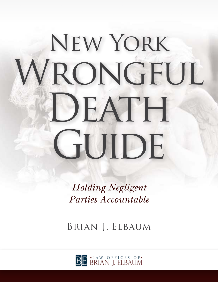# New York WRONGFUL **DEATH** GUIDE

*Holding Negligent Parties Accountable*

Brian J. Elbaum

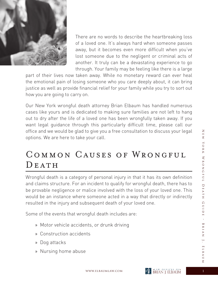

There are no words to describe the heartbreaking loss of a loved one. It's always hard when someone passes away, but it becomes even more difficult when you've lost someone due to the negligent or criminal acts of another. It truly can be a devastating experience to go through. Your family may be feeling like there is a large

part of their lives now taken away. While no monetary reward can ever heal the emotional pain of losing someone who you care deeply about, it can bring justice as well as provide financial relief for your family while you try to sort out how you are going to carry on.

Our New York wrongful death attorney Brian Elbaum has handled numerous cases like yours and is dedicated to making sure families are not left to hang out to dry after the life of a loved one has been wrongfully taken away. If you want legal guidance through this particularly difficult time, please call our office and we would be glad to give you a free consultation to discuss your legal options. We are here to take your call.

# Common Causes of Wrongful DEATH

Wrongful death is a category of personal injury in that it has its own definition and claims structure. For an incident to qualify for wrongful death, there has to be provable negligence or malice involved with the loss of your loved one. This would be an instance where someone acted in a way that directly or indirectly resulted in the injury and subsequent death of your loved one.

Some of the events that wrongful death includes are:

- » Motor vehicle accidents, or drunk driving
- » Construction accidents
- » Dog attacks
- » Nursing home abuse

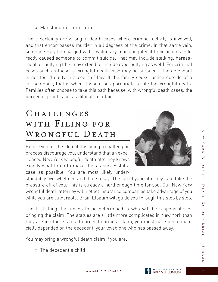There certainly are wrongful death cases where criminal activity is involved, and that encompasses murder in all degrees of the crime. In that same vein, someone may be charged with involuntary manslaughter if their actions indirectly caused someone to commit suicide. That may include stalking, harassment, or bullying (this may extend to include cyberbullying as well). For criminal cases such as these, a wrongful death case may be pursued if the defendant is not found guilty in a court of law. If the family seeks justice outside of a jail sentence, that is when it would be appropriate to file for wrongful death. Families often choose to take this path because, with wrongful death cases, the burden of proof is not as difficult to attain.

# CHALLENGES with Filing for WRONGFUL DEATH

Before you let the idea of this being a challenging process discourage you, understand that an experienced New York wrongful death attorney knows exactly what to do to make this as successful a case as possible. You are most likely under-



standably overwhelmed and that's okay. The job of your attorney is to take the pressure off of you. This is already a hard enough time for you. Our New York wrongful death attorney will not let insurance companies take advantage of you while you are vulnerable. Brain Elbaum will guide you through this step by step.

The first thing that needs to be determined is who will be responsible for bringing the claim. The statues are a little more complicated in New York than they are in other states. In order to bring a claim, you must have been financially depended on the decedent (your loved one who has passed away).

You may bring a wrongful death claim if you are:

» The decedent's child

 $\overline{Z}$ 



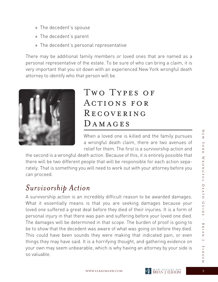- » The decedent's spouse
- » The decedent's parent
- » The decedent's personal representative

There may be additional family members or loved ones that are named as a personal representative of the estate. To be sure of who can bring a claim, it is very important that you sit down with an experienced New York wrongful death attorney to identify who that person will be.



## TWO TYPES OF Actions for **RECOVERING** DAMAGES

When a loved one is killed and the family pursues a wrongful death claim, there are two avenues of relief for them. The first is a survivorship action and

the second is a wrongful death action. Because of this, it is entirely possible that there will be two different people that will be responsible for each action separately. That is something you will need to work out with your attorney before you can proceed.

#### *Survivorship Action*

A survivorship action is an incredibly difficult reason to be awarded damages. What it essentially means is that you are seeking damages because your loved one suffered a great deal before they died of their injuries. It is a form of personal injury in that there was pain and suffering before your loved one died. The damages will be determined in that scope. The burden of proof is going to be to show that the decedent was aware of what was going on before they died. This could have been sounds they were making that indicated pain, or even things they may have said. It is a horrifying thought, and gathering evidence on your own may seem unbearable, which is why having an attorney by your side is so valuable.

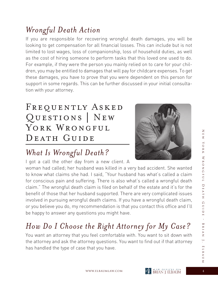$\overline{Z}$ 

#### *Wrongful Death Action*

If you are responsible for recovering wrongful death damages, you will be looking to get compensation for all financial losses. This can include but is not limited to lost wages, loss of companionship, loss of household duties, as well as the cost of hiring someone to perform tasks that this loved one used to do. For example, if they were the person you mainly relied on to care for your children, you may be entitled to damages that will pay for childcare expenses. To get these damages, you have to prove that you were dependent on this person for support in some regards. This can be further discussed in your initial consultation with your attorney.

# FREQUENTLY ASKED Questions | New YORK WRONGFUL DEATH GUIDE



# *What Is Wrongful Death?*

I got a call the other day from a new client. A

woman had called; her husband was killed in a very bad accident. She wanted to know what claims she had. I said, "Your husband has what's called a claim for conscious pain and suffering. There is also what's called a wrongful death claim." The wrongful death claim is filed on behalf of the estate and it's for the benefit of those that her husband supported. There are very complicated issues involved in pursuing wrongful death claims. If you have a wrongful death claim, or you believe you do, my recommendation is that you contact this office and I'll be happy to answer any questions you might have.

# *How Do I Choose the Right Attorney for My Case?*

You want an attorney that you feel comfortable with. You want to sit down with the attorney and ask the attorney questions. You want to find out if that attorney has handled the type of case that you have.

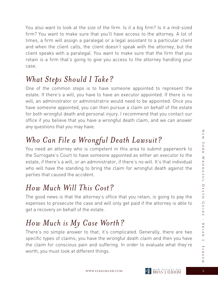You also want to look at the size of the firm. Is it a big firm? Is it a mid-sized firm? You want to make sure that you'll have access to the attorney. A lot of times, a firm will assign a paralegal or a legal assistant to a particular client and when the client calls, the client doesn't speak with the attorney, but the client speaks with a paralegal. You want to make sure that the firm that you retain is a firm that's going to give you access to the attorney handling your case.

#### *What Steps Should I Take?*

One of the common steps is to have someone appointed to represent the estate. If there's a will, you have to have an executor appointed. If there is no will, an administrator or administratrix would need to be appointed. Once you have someone appointed, you can then pursue a claim on behalf of the estate for both wrongful death and personal injury. I recommend that you contact our office if you believe that you have a wrongful death claim, and we can answer any questions that you may have.

#### *Who Can File a Wrongful Death Lawsuit?*

You need an attorney who is competent in this area to submit paperwork to the Surrogate's Court to have someone appointed as either an executor to the estate, if there's a will, or an administrator, if there's no will. It's that individual who will have the standing to bring the claim for wrongful death against the parties that caused the accident.

#### *How Much Will This Cost?*

The good news is that the attorney's office that you retain, is going to pay the expenses to prosecute the case and will only get paid if the attorney is able to get a recovery on behalf of the estate.

#### *How Much is My Case Worth?*

There's no simple answer to that; it's complicated. Generally, there are two specific types of claims; you have the wrongful death claim and then you have the claim for conscious pain and suffering. In order to evaluate what they're worth, you must look at different things.

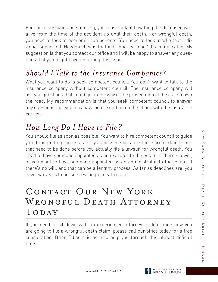For conscious pain and suffering, you must look at how long the deceased was alive from the time of the accident up until their death. For wrongful death, you need to look at economic components. You need to look at who that individual supported. How much was that individual earning? It's complicated. My suggestion is that you contact our office and I will be happy to answer any questions that you might have regarding this issue.

#### *Should I Talk to the Insurance Companies?*

What you want to do is seek competent council. You don't want to talk to the insurance company without competent council. The insurance company will ask you questions that could get in the way of the prosecution of the claim down the road. My recommendation is that you seek competent council to answer any questions that you may have before getting on the phone with the insurance carrier.

# *How Long Do I Have to File?*

You should file as soon as possible. You want to hire competent council to guide you through the process as early as possible because there are certain things that need to be done before you actually file a lawsuit for wrongful death. You need to have someone appointed as an executor to the estate, if there's a will, or you want to have someone appointed as an administrator to the estate, if there's no will, and that can be a lengthy process. As far as deadlines are, you have two years to pursue a wrongful death claim.

# CONTACT OUR NEW YORK WRONGFUL DEATH ATTORNEY TODAY

If you need to sit down with an experienced attorney to determine how you are going to file a wrongful death claim, please call our office today for a free consultation. Brian Elbaum is here to help you through this utmost difficult time.

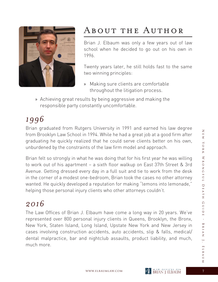



# About the Author

Brian J. Elbaum was only a few years out of law school when he decided to go out on his own in 1996.

Twenty years later, he still holds fast to the same two winning principles:

- » Making sure clients are comfortable throughout the litigation process.
- » Achieving great results by being aggressive and making the responsible party constantly uncomfortable.

# *1996*

Brian graduated from Rutgers University in 1991 and earned his law degree from Brooklyn Law School in 1994. While he had a great job at a good firm after graduating he quickly realized that he could serve clients better on his own, unburdened by the constraints of the law firm model and approach.

Brian felt so strongly in what he was doing that for his first year he was willing to work out of his apartment – a sixth floor walkup on East 37th Street & 3rd Avenue. Getting dressed every day in a full suit and tie to work from the desk in the corner of a modest one-bedroom, Brian took the cases no other attorney wanted. He quickly developed a reputation for making "lemons into lemonade," helping those personal injury clients who other attorneys couldn't.

#### *2016*

The Law Offices of Brian J. Elbaum have come a long way in 20 years. We've represented over 800 personal injury clients in Queens, Brooklyn, the Bronx, New York, Staten Island, Long Island, Upstate New York and New Jersey in cases involving construction accidents, auto accidents, slip & falls, medical/ dental malpractice, bar and nightclub assaults, product liability, and much, much more.

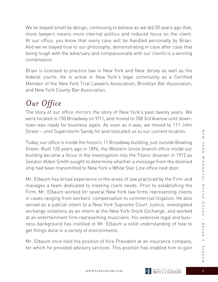We've stayed small by design, continuing to believe as we did 20 years ago that, more lawyers means more internal politics and reduced focus on the client. At our office, you know that every case will be handled personally by Brian. And we've stayed true to our philosophy, demonstrating in case after case that being tough with the adversary and compassionate with our clients is a winning combination.

Brian is licensed to practice law in New York and New Jersey as well as the federal courts. He is active in New York's legal community as a Certified Member of the New York Trial Lawyers Association, Brooklyn Bar Association, and New York County Bar Association.

# *Our Office*

The story of our office mirrors the story of New York's past twenty years. We were located in 150 Broadway on 9/11, and moved to 708 3rd Avenue until downtown was ready for business again. As soon as it was, we moved to 111 John Street – until Superstorm Sandy hit and relocated us to our current location.

Today, our office is inside the historic 11 Broadway building, just outside Bowling Green. Built 120 years ago in 1896, the Western Union branch office inside our building became a focus in the investigation into the Titanic disaster in 1912 as Senator Alden Smith sought to determine whether a message from the doomed ship had been transmitted to New York's White Star Line office next door.

Mr. Elbaum has broad experience in the areas of law practiced by the Firm and manages a team dedicated to meeting client needs. Prior to establishing the Firm, Mr. Elbaum worked for several New York law firms representing clients in cases ranging from workers' compensation to commercial litigation. He also served as a judicial intern to a New York Supreme Court Justice, investigated exchange violations as an intern at the New York Stock Exchange, and worked at an entertainment firm representing musicians. His extensive legal and business background has instilled in Mr. Elbaum a solid understanding of how to get things done in a variety of environments.

Mr. Elbaum once held the position of Vice President at an insurance company, for which he provided advisory services. This position has enabled him to gain

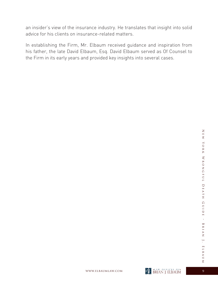an insider's view of the insurance industry. He translates that insight into solid advice for his clients on insurance-related matters.

In establishing the Firm, Mr. Elbaum received guidance and inspiration from his father, the late David Elbaum, Esq. David Elbaum served as Of Counsel to the Firm in its early years and provided key insights into several cases.